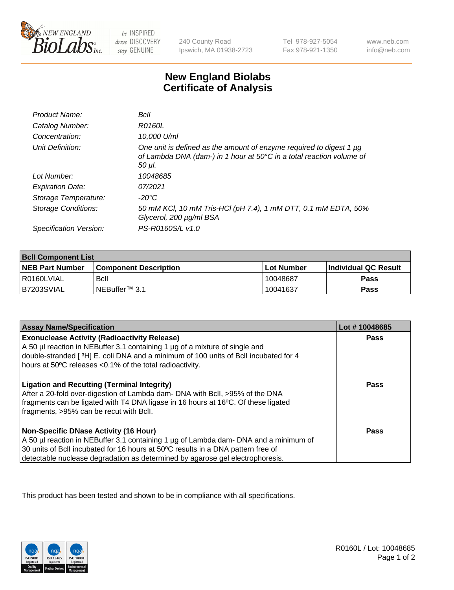

be INSPIRED drive DISCOVERY stay GENUINE

240 County Road Ipswich, MA 01938-2723

Tel 978-927-5054 Fax 978-921-1350

www.neb.com info@neb.com

## **New England Biolabs Certificate of Analysis**

| Product Name:              | Bcll                                                                                                                                                  |
|----------------------------|-------------------------------------------------------------------------------------------------------------------------------------------------------|
| Catalog Number:            | <i>R0160L</i>                                                                                                                                         |
| Concentration:             | 10,000 U/ml                                                                                                                                           |
| Unit Definition:           | One unit is defined as the amount of enzyme required to digest 1 µg<br>of Lambda DNA (dam-) in 1 hour at 50°C in a total reaction volume of<br>50 µI. |
| Lot Number:                | 10048685                                                                                                                                              |
| <b>Expiration Date:</b>    | 07/2021                                                                                                                                               |
| Storage Temperature:       | -20°C                                                                                                                                                 |
| <b>Storage Conditions:</b> | 50 mM KCl, 10 mM Tris-HCl (pH 7.4), 1 mM DTT, 0.1 mM EDTA, 50%<br>Glycerol, 200 µg/ml BSA                                                             |
| Specification Version:     | PS-R0160S/L v1.0                                                                                                                                      |

| <b>Bcll Component List</b> |                              |              |                             |  |
|----------------------------|------------------------------|--------------|-----------------------------|--|
| <b>NEB Part Number</b>     | <b>Component Description</b> | l Lot Number | <b>Individual QC Result</b> |  |
| I R0160LVIAL               | Bcll                         | 10048687     | Pass                        |  |
| IB7203SVIAL                | i NEBuffer™ 3.1              | 10041637     | Pass                        |  |

| <b>Assay Name/Specification</b>                                                                                                                                                                                                                                                                    | Lot #10048685 |
|----------------------------------------------------------------------------------------------------------------------------------------------------------------------------------------------------------------------------------------------------------------------------------------------------|---------------|
| <b>Exonuclease Activity (Radioactivity Release)</b><br>A 50 µl reaction in NEBuffer 3.1 containing 1 µg of a mixture of single and<br>double-stranded [3H] E. coli DNA and a minimum of 100 units of Bcll incubated for 4<br>hours at 50°C releases <0.1% of the total radioactivity.              | <b>Pass</b>   |
| <b>Ligation and Recutting (Terminal Integrity)</b><br>After a 20-fold over-digestion of Lambda dam- DNA with BcII, >95% of the DNA<br>fragments can be ligated with T4 DNA ligase in 16 hours at 16°C. Of these ligated<br>fragments, >95% can be recut with Bcll.                                 | <b>Pass</b>   |
| Non-Specific DNase Activity (16 Hour)<br>A 50 µl reaction in NEBuffer 3.1 containing 1 µg of Lambda dam- DNA and a minimum of<br>30 units of BcII incubated for 16 hours at 50°C results in a DNA pattern free of<br>detectable nuclease degradation as determined by agarose gel electrophoresis. | Pass          |

This product has been tested and shown to be in compliance with all specifications.